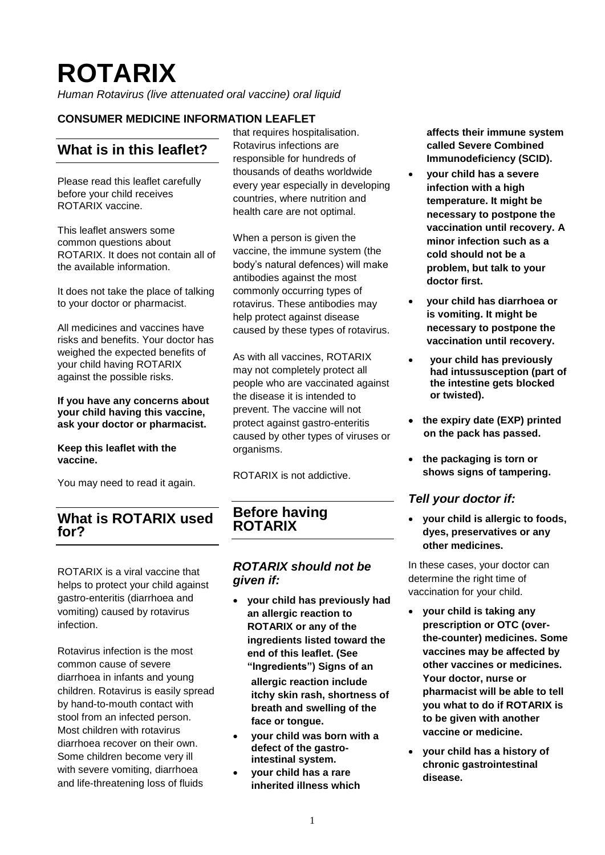# **ROTARIX**

*Human Rotavirus (live attenuated oral vaccine) oral liquid*

# **CONSUMER MEDICINE INFORMATION LEAFLET**

# **What is in this leaflet?**

Please read this leaflet carefully before your child receives ROTARIX vaccine.

This leaflet answers some common questions about ROTARIX. It does not contain all of the available information.

It does not take the place of talking to your doctor or pharmacist.

All medicines and vaccines have risks and benefits. Your doctor has weighed the expected benefits of your child having ROTARIX against the possible risks.

#### **If you have any concerns about your child having this vaccine, ask your doctor or pharmacist.**

#### **Keep this leaflet with the vaccine.**

You may need to read it again.

# **What is ROTARIX used for?**

ROTARIX is a viral vaccine that helps to protect your child against gastro-enteritis (diarrhoea and vomiting) caused by rotavirus infection.

Rotavirus infection is the most common cause of severe diarrhoea in infants and young children. Rotavirus is easily spread by hand-to-mouth contact with stool from an infected person. Most children with rotavirus diarrhoea recover on their own. Some children become very ill with severe vomiting, diarrhoea and life-threatening loss of fluids

that requires hospitalisation. Rotavirus infections are responsible for hundreds of thousands of deaths worldwide every year especially in developing countries, where nutrition and health care are not optimal.

When a person is given the vaccine, the immune system (the body's natural defences) will make antibodies against the most commonly occurring types of rotavirus. These antibodies may help protect against disease caused by these types of rotavirus.

As with all vaccines, ROTARIX may not completely protect all people who are vaccinated against the disease it is intended to prevent. The vaccine will not protect against gastro-enteritis caused by other types of viruses or organisms.

ROTARIX is not addictive.

# **Before having ROTARIX**

## *ROTARIX should not be given if:*

- **your child has previously had an allergic reaction to ROTARIX or any of the ingredients listed toward the end of this leaflet. (See "Ingredients") Signs of an allergic reaction include itchy skin rash, shortness of breath and swelling of the face or tongue.**
- **your child was born with a defect of the gastrointestinal system.**
- **your child has a rare inherited illness which**

**affects their immune system called Severe Combined Immunodeficiency (SCID).**

- **your child has a severe infection with a high temperature. It might be necessary to postpone the vaccination until recovery. A minor infection such as a cold should not be a problem, but talk to your doctor first.**
- **your child has diarrhoea or is vomiting. It might be necessary to postpone the vaccination until recovery.**
- **your child has previously had intussusception (part of the intestine gets blocked or twisted).**
- **the expiry date (EXP) printed on the pack has passed.**
- **the packaging is torn or shows signs of tampering.**

## *Tell your doctor if:*

• **your child is allergic to foods, dyes, preservatives or any other medicines.**

In these cases, your doctor can determine the right time of vaccination for your child.

- **your child is taking any prescription or OTC (overthe-counter) medicines. Some vaccines may be affected by other vaccines or medicines. Your doctor, nurse or pharmacist will be able to tell you what to do if ROTARIX is to be given with another vaccine or medicine.**
- **your child has a history of chronic gastrointestinal disease.**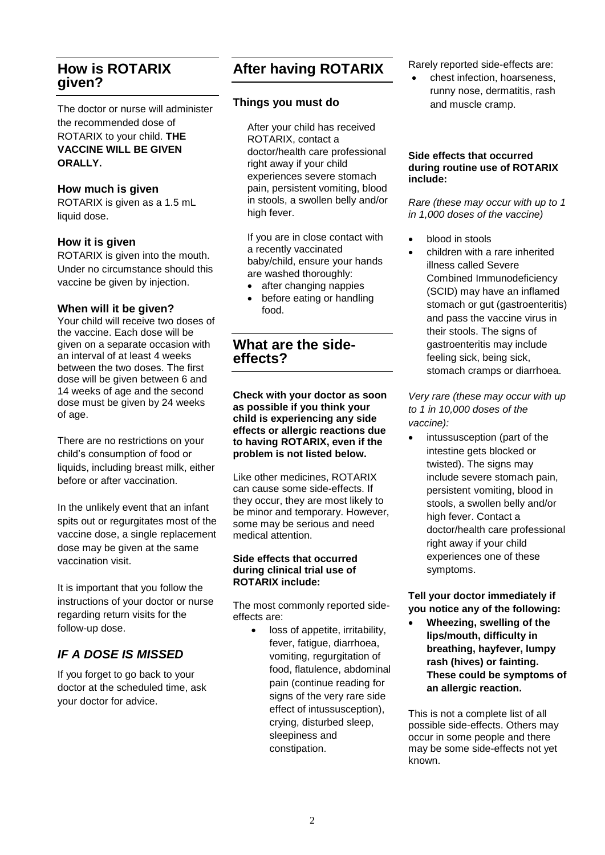# **How is ROTARIX given?**

The doctor or nurse will administer the recommended dose of ROTARIX to your child. **THE VACCINE WILL BE GIVEN ORALLY.**

## **How much is given**

ROTARIX is given as a 1.5 mL liquid dose.

## **How it is given**

ROTARIX is given into the mouth. Under no circumstance should this vaccine be given by injection.

#### **When will it be given?**

Your child will receive two doses of the vaccine. Each dose will be given on a separate occasion with an interval of at least 4 weeks between the two doses. The first dose will be given between 6 and 14 weeks of age and the second dose must be given by 24 weeks of age.

There are no restrictions on your child's consumption of food or liquids, including breast milk, either before or after vaccination.

In the unlikely event that an infant spits out or regurgitates most of the vaccine dose, a single replacement dose may be given at the same vaccination visit.

It is important that you follow the instructions of your doctor or nurse regarding return visits for the follow-up dose.

# *IF A DOSE IS MISSED*

If you forget to go back to your doctor at the scheduled time, ask your doctor for advice.

# **After having ROTARIX**

## **Things you must do**

After your child has received ROTARIX, contact a doctor/health care professional right away if your child experiences severe stomach pain, persistent vomiting, blood in stools, a swollen belly and/or high fever.

If you are in close contact with a recently vaccinated baby/child, ensure your hands are washed thoroughly:

- after changing nappies
- before eating or handling food.

# **What are the sideeffects?**

**Check with your doctor as soon as possible if you think your child is experiencing any side effects or allergic reactions due to having ROTARIX, even if the problem is not listed below.**

Like other medicines, ROTARIX can cause some side-effects. If they occur, they are most likely to be minor and temporary. However, some may be serious and need medical attention.

#### **Side effects that occurred during clinical trial use of ROTARIX include:**

The most commonly reported sideeffects are:

• loss of appetite, irritability, fever, fatigue, diarrhoea, vomiting, regurgitation of food, flatulence, abdominal pain (continue reading for signs of the very rare side effect of intussusception), crying, disturbed sleep, sleepiness and constipation.

Rarely reported side-effects are:

• chest infection, hoarseness, runny nose, dermatitis, rash and muscle cramp.

#### **Side effects that occurred during routine use of ROTARIX include:**

*Rare (these may occur with up to 1 in 1,000 doses of the vaccine)*

- blood in stools
	- children with a rare inherited illness called Severe Combined Immunodeficiency (SCID) may have an inflamed stomach or gut (gastroenteritis) and pass the vaccine virus in their stools. The signs of gastroenteritis may include feeling sick, being sick, stomach cramps or diarrhoea.

*Very rare (these may occur with up to 1 in 10,000 doses of the vaccine):*

• intussusception (part of the intestine gets blocked or twisted). The signs may include severe stomach pain, persistent vomiting, blood in stools, a swollen belly and/or high fever. Contact a doctor/health care professional right away if your child experiences one of these symptoms.

**Tell your doctor immediately if you notice any of the following:**

• **Wheezing, swelling of the lips/mouth, difficulty in breathing, hayfever, lumpy rash (hives) or fainting. These could be symptoms of an allergic reaction.**

This is not a complete list of all possible side-effects. Others may occur in some people and there may be some side-effects not yet known.